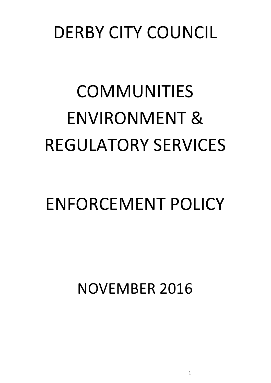### DERBY CITY COUNCIL

# COMMUNITIES ENVIRONMENT & REGULATORY SERVICES

## ENFORCEMENT POLICY

NOVEMBER 2016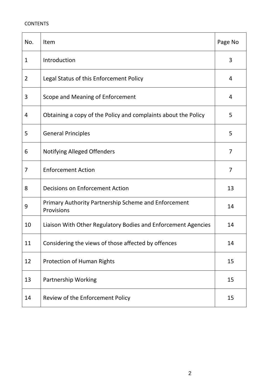#### **CONTENTS**

| No.            | Item                                                               | Page No        |
|----------------|--------------------------------------------------------------------|----------------|
| $\mathbf{1}$   | Introduction                                                       | 3              |
| $\overline{2}$ | Legal Status of this Enforcement Policy                            | 4              |
| 3              | Scope and Meaning of Enforcement                                   | 4              |
| 4              | Obtaining a copy of the Policy and complaints about the Policy     | 5              |
| 5              | <b>General Principles</b>                                          | 5              |
| 6              | <b>Notifying Alleged Offenders</b>                                 | $\overline{7}$ |
| 7              | <b>Enforcement Action</b>                                          | $\overline{7}$ |
| 8              | <b>Decisions on Enforcement Action</b>                             | 13             |
| 9              | Primary Authority Partnership Scheme and Enforcement<br>Provisions | 14             |
| 10             | Liaison With Other Regulatory Bodies and Enforcement Agencies      | 14             |
| 11             | Considering the views of those affected by offences                | 14             |
| 12             | <b>Protection of Human Rights</b>                                  | 15             |
| 13             | Partnership Working                                                | 15             |
| 14             | Review of the Enforcement Policy                                   | 15             |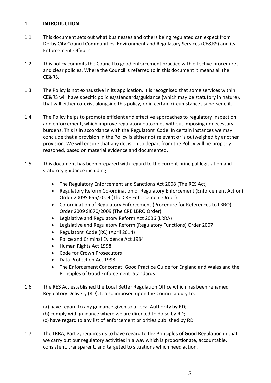#### **1 INTRODUCTION**

- 1.1 This document sets out what businesses and others being regulated can expect from Derby City Council Communities, Environment and Regulatory Services (CE&RS) and its Enforcement Officers.
- 1.2 This policy commits the Council to good enforcement practice with effective procedures and clear policies. Where the Council is referred to in this document it means all the CE&RS.
- 1.3 The Policy is not exhaustive in its application. It is recognised that some services within CE&RS will have specific policies/standards/guidance (which may be statutory in nature), that will either co-exist alongside this policy, or in certain circumstances supersede it.
- 1.4 The Policy helps to promote efficient and effective approaches to regulatory inspection and enforcement, which improve regulatory outcomes without imposing unnecessary burdens. This is in accordance with the Regulators' Code. In certain instances we may conclude that a provision in the Policy is either not relevant or is outweighed by another provision. We will ensure that any decision to depart from the Policy will be properly reasoned, based on material evidence and documented.
- 1.5 This document has been prepared with regard to the current principal legislation and statutory guidance including:
	- The Regulatory Enforcement and Sanctions Act 2008 (The RES Act)
	- Regulatory Reform Co-ordination of Regulatory Enforcement (Enforcement Action) Order 2009SI665/2009 (The CRE Enforcement Order)
	- Co-ordination of Regulatory Enforcement (Procedure for References to LBRO) Order 2009 SI670/2009 (The CRE LBRO Order)
	- Legislative and Regulatory Reform Act 2006 (LRRA)
	- Legislative and Regulatory Reform (Regulatory Functions) Order 2007
	- Regulators' Code (RC) (April 2014)
	- Police and Criminal Evidence Act 1984
	- Human Rights Act 1998
	- Code for Crown Prosecutors
	- Data Protection Act 1998
	- The Enforcement Concordat: Good Practice Guide for England and Wales and the Principles of Good Enforcement: Standards
- 1.6 The RES Act established the Local Better Regulation Office which has been renamed Regulatory Delivery (RD). It also imposed upon the Council a duty to:
	- (a) have regard to any guidance given to a Local Authority by RD; (b) comply with guidance where we are directed to do so by RD; (c) have regard to any list of enforcement priorities published by RD
- 1.7 The LRRA, Part 2, requires us to have regard to the Principles of Good Regulation in that we carry out our regulatory activities in a way which is proportionate, accountable, consistent, transparent, and targeted to situations which need action.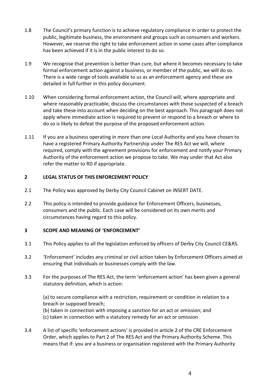- 1.8 The Council's primary function is to achieve regulatory compliance in order to protect the public, legitimate business, the environment and groups such as consumers and workers. However, we reserve the right to take enforcement action in some cases after compliance has been achieved if it is in the public interest to do so.
- 1.9 We recognise that prevention is better than cure, but where it becomes necessary to take formal enforcement action against a business, or member of the public, we will do so. There is a wide range of tools available to us as an enforcement agency and these are detailed in full further in this policy document.
- 1.10 When considering formal enforcement action, the Council will, where appropriate and where reasonably practicable, discuss the circumstances with those suspected of a breach and take these into account when deciding on the best approach. This paragraph does not apply where immediate action is required to prevent or respond to a breach or where to do so is likely to defeat the purpose of the proposed enforcement action.
- 1.11 If you are a business operating in more than one Local Authority and you have chosen to have a registered Primary Authority Partnership under The RES Act we will, where required, comply with the agreement provisions for enforcement and notify your Primary Authority of the enforcement action we propose to take. We may under that Act also refer the matter to RD if appropriate.

#### **2 LEGAL STATUS OF THIS ENFORCEMENT POLICY**

- 2.1 The Policy was approved by Derby City Council Cabinet on INSERT DATE.
- 2.2 This policy is intended to provide guidance for Enforcement Officers, businesses, consumers and the public. Each case will be considered on its own merits and circumstances having regard to this policy.

#### **3 SCOPE AND MEANING OF 'ENFORCEMENT'**

- 3.1 This Policy applies to all the legislation enforced by officers of Derby City Council CE&RS.
- 3.2 'Enforcement' includes any criminal or civil action taken by Enforcement Officers aimed at ensuring that individuals or businesses comply with the law.
- 3.3 For the purposes of The RES Act, the term 'enforcement action' has been given a general statutory definition, which is action:

(a) to secure compliance with a restriction, requirement or condition in relation to a breach or supposed breach;

(b) taken in connection with imposing a sanction for an act or omission; and

- (c) taken in connection with a statutory remedy for an act or omission
- 3.4 A list of specific 'enforcement actions' is provided in article 2 of the CRE Enforcement Order, which applies to Part 2 of The RES Act and the Primary Authority Scheme. This means that if: you are a business or organisation registered with the Primary Authority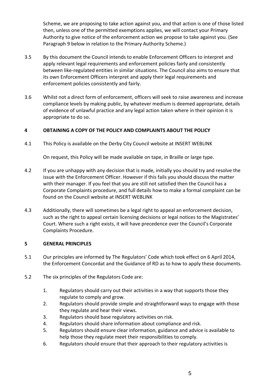Scheme, we are proposing to take action against you, and that action is one of those listed then, unless one of the permitted exemptions applies, we will contact your Primary Authority to give notice of the enforcement action we propose to take against you. (See Paragraph 9 below in relation to the Primary Authority Scheme.)

- 3.5 By this document the Council intends to enable Enforcement Officers to interpret and apply relevant legal requirements and enforcement policies fairly and consistently between like-regulated entities in similar situations. The Council also aims to ensure that its own Enforcement Officers interpret and apply their legal requirements and enforcement policies consistently and fairly.
- 3.6 Whilst not a direct form of enforcement, officers will seek to raise awareness and increase compliance levels by making public, by whatever medium is deemed appropriate, details of evidence of unlawful practice and any legal action taken where in their opinion it is appropriate to do so.

#### **4 OBTAINING A COPY OF THE POLICY AND COMPLAINTS ABOUT THE POLICY**

4.1 This Policy is available on the Derby City Council website at INSERT WEBLINK

On request, this Policy will be made available on tape, in Braille or large type.

- 4.2 If you are unhappy with any decision that is made, initially you should try and resolve the issue with the Enforcement Officer. However if this fails you should discuss the matter with their manager. If you feel that you are still not satisfied then the Council has a Corporate Complaints procedure, and full details how to make a formal complaint can be found on the Council website at INSERT WEBLINK
- 4.3 Additionally, there will sometimes be a legal right to appeal an enforcement decision, such as the right to appeal certain licensing decisions or legal notices to the Magistrates' Court. Where such a right exists, it will have precedence over the Council's Corporate Complaints Procedure.

#### **5 GENERAL PRINCIPLES**

- 5.1 Our principles are informed by The Regulators' Code which took effect on 6 April 2014, the Enforcement Concordat and the Guidance of RD as to how to apply these documents.
- 5.2 The six principles of the Regulators Code are:
	- 1. Regulators should carry out their activities in a way that supports those they regulate to comply and grow.
	- 2. Regulators should provide simple and straightforward ways to engage with those they regulate and hear their views.
	- 3. Regulators should base regulatory activities on risk.
	- 4. Regulators should share information about compliance and risk.
	- 5. Regulators should ensure clear information, guidance and advice is available to help those they regulate meet their responsibilities to comply.
	- 6. Regulators should ensure that their approach to their regulatory activities is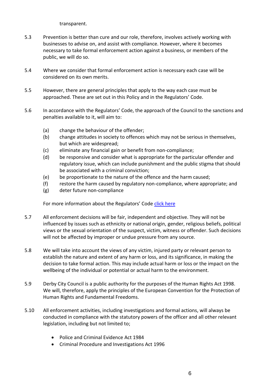transparent.

- 5.3 Prevention is better than cure and our role, therefore, involves actively working with businesses to advise on, and assist with compliance. However, where it becomes necessary to take formal enforcement action against a business, or members of the public, we will do so.
- 5.4 Where we consider that formal enforcement action is necessary each case will be considered on its own merits.
- 5.5 However, there are general principles that apply to the way each case must be approached. These are set out in this Policy and in the Regulators' Code.
- 5.6 In accordance with the Regulators' Code, the approach of the Council to the sanctions and penalties available to it, will aim to:
	- (a) change the behaviour of the offender;
	- (b) change attitudes in society to offences which may not be serious in themselves, but which are widespread;
	- (c) eliminate any financial gain or benefit from non-compliance;
	- (d) be responsive and consider what is appropriate for the particular offender and regulatory issue, which can include punishment and the public stigma that should be associated with a criminal conviction;
	- (e) be proportionate to the nature of the offence and the harm caused;
	- (f) restore the harm caused by regulatory non-compliance, where appropriate; and
	- (g) deter future non-compliance

For more information about the Regulators' Code [click here](https://www.gov.uk/government/uploads/system/uploads/attachment_data/file/300126/14-705-regulators-code.pdf)

- 5.7 All enforcement decisions will be fair, independent and objective. They will not be influenced by issues such as ethnicity or national origin, gender, religious beliefs, political views or the sexual orientation of the suspect, victim, witness or offender. Such decisions will not be affected by improper or undue pressure from any source.
- 5.8 We will take into account the views of any victim, injured party or relevant person to establish the nature and extent of any harm or loss, and its significance, in making the decision to take formal action. This may include actual harm or loss or the impact on the wellbeing of the individual or potential or actual harm to the environment.
- 5.9 Derby City Council is a public authority for the purposes of the Human Rights Act 1998. We will, therefore, apply the principles of the European Convention for the Protection of Human Rights and Fundamental Freedoms.
- 5.10 All enforcement activities, including investigations and formal actions, will always be conducted in compliance with the statutory powers of the officer and all other relevant legislation, including but not limited to;
	- Police and Criminal Evidence Act 1984
	- Criminal Procedure and Investigations Act 1996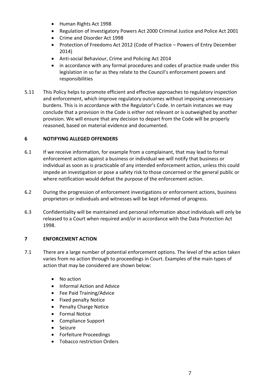- Human Rights Act 1998
- Regulation of Investigatory Powers Act 2000 Criminal Justice and Police Act 2001
- Crime and Disorder Act 1998
- Protection of Freedoms Act 2012 (Code of Practice Powers of Entry December 2014)
- Anti-social Behaviour, Crime and Policing Act 2014
- in accordance with any formal procedures and codes of practice made under this legislation in so far as they relate to the Council's enforcement powers and responsibilities
- 5.11 This Policy helps to promote efficient and effective approaches to regulatory inspection and enforcement, which improve regulatory outcomes without imposing unnecessary burdens. This is in accordance with the Regulator's Code. In certain instances we may conclude that a provision in the Code is either not relevant or is outweighed by another provision. We will ensure that any decision to depart from the Code will be properly reasoned, based on material evidence and documented.

#### **6 NOTIFYING ALLEGED OFFENDERS**

- 6.1 If we receive information, for example from a complainant, that may lead to formal enforcement action against a business or individual we will notify that business or individual as soon as is practicable of any intended enforcement action, unless this could impede an investigation or pose a safety risk to those concerned or the general public or where notification would defeat the purpose of the enforcement action.
- 6.2 During the progression of enforcement investigations or enforcement actions, business proprietors or individuals and witnesses will be kept informed of progress.
- 6.3 Confidentiality will be maintained and personal information about individuals will only be released to a Court when required and/or in accordance with the Data Protection Act 1998.

#### **7 ENFORCEMENT ACTION**

- 7.1 There are a large number of potential enforcement options. The level of the action taken varies from no action through to proceedings in Court. Examples of the main types of action that may be considered are shown below:
	- No action
	- Informal Action and Advice
	- Fee Paid Training/Advice
	- Fixed penalty Notice
	- Penalty Charge Notice
	- Formal Notice
	- Compliance Support
	- Seizure
	- Forfeiture Proceedings
	- Tobacco restriction Orders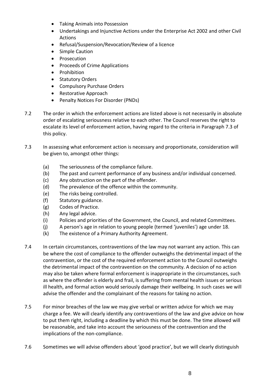- Taking Animals into Possession
- Undertakings and Injunctive Actions under the Enterprise Act 2002 and other Civil Actions
- Refusal/Suspension/Revocation/Review of a licence
- Simple Caution
- Prosecution
- Proceeds of Crime Applications
- Prohibition
- Statutory Orders
- Compulsory Purchase Orders
- Restorative Approach
- Penalty Notices For Disorder (PNDs)
- 7.2 The order in which the enforcement actions are listed above is not necessarily in absolute order of escalating seriousness relative to each other. The Council reserves the right to escalate its level of enforcement action, having regard to the criteria in Paragraph 7.3 of this policy.
- 7.3 In assessing what enforcement action is necessary and proportionate, consideration will be given to, amongst other things:
	- (a) The seriousness of the compliance failure.
	- (b) The past and current performance of any business and/or individual concerned.
	- (c) Any obstruction on the part of the offender.
	- (d) The prevalence of the offence within the community.
	- (e) The risks being controlled.
	- (f) Statutory guidance.
	- (g) Codes of Practice.
	- (h) Any legal advice.
	- (i) Policies and priorities of the Government, the Council, and related Committees.
	- (j) A person's age in relation to young people (termed 'juveniles') age under 18.
	- (k) The existence of a Primary Authority Agreement.
- 7.4 In certain circumstances, contraventions of the law may not warrant any action. This can be where the cost of compliance to the offender outweighs the detrimental impact of the contravention, or the cost of the required enforcement action to the Council outweighs the detrimental impact of the contravention on the community. A decision of no action may also be taken where formal enforcement is inappropriate in the circumstances, such as where the offender is elderly and frail, is suffering from mental health issues or serious ill health, and formal action would seriously damage their wellbeing. In such cases we will advise the offender and the complainant of the reasons for taking no action.
- 7.5 For minor breaches of the law we may give verbal or written advice for which we may charge a fee. We will clearly identify any contraventions of the law and give advice on how to put them right, including a deadline by which this must be done. The time allowed will be reasonable, and take into account the seriousness of the contravention and the implications of the non-compliance.
- 7.6 Sometimes we will advise offenders about 'good practice', but we will clearly distinguish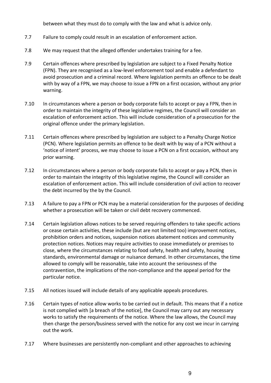between what they must do to comply with the law and what is advice only.

- 7.7 Failure to comply could result in an escalation of enforcement action.
- 7.8 We may request that the alleged offender undertakes training for a fee.
- 7.9 Certain offences where prescribed by legislation are subject to a Fixed Penalty Notice (FPN). They are recognised as a low-level enforcement tool and enable a defendant to avoid prosecution and a criminal record. Where legislation permits an offence to be dealt with by way of a FPN, we may choose to issue a FPN on a first occasion, without any prior warning.
- 7.10 In circumstances where a person or body corporate fails to accept or pay a FPN, then in order to maintain the integrity of these legislative regimes, the Council will consider an escalation of enforcement action. This will include consideration of a prosecution for the original offence under the primary legislation.
- 7.11 Certain offences where prescribed by legislation are subject to a Penalty Charge Notice (PCN). Where legislation permits an offence to be dealt with by way of a PCN without a 'notice of intent' process, we may choose to issue a PCN on a first occasion, without any prior warning.
- 7.12 In circumstances where a person or body corporate fails to accept or pay a PCN, then in order to maintain the integrity of this legislative regime, the Council will consider an escalation of enforcement action. This will include consideration of civil action to recover the debt incurred by the by the Council.
- 7.13 A failure to pay a FPN or PCN may be a material consideration for the purposes of deciding whether a prosecution will be taken or civil debt recovery commenced.
- 7.14 Certain legislation allows notices to be served requiring offenders to take specific actions or cease certain activities, these include (but are not limited too) improvement notices, prohibition orders and notices, suspension notices abatement notices and community protection notices. Notices may require activities to cease immediately or premises to close, where the circumstances relating to food safety, health and safety, housing standards, environmental damage or nuisance demand. In other circumstances, the time allowed to comply will be reasonable, take into account the seriousness of the contravention, the implications of the non-compliance and the appeal period for the particular notice.
- 7.15 All notices issued will include details of any applicable appeals procedures.
- 7.16 Certain types of notice allow works to be carried out in default. This means that if a notice is not complied with [a breach of the notice], the Council may carry out any necessary works to satisfy the requirements of the notice. Where the law allows, the Council may then charge the person/business served with the notice for any cost we incur in carrying out the work.
- 7.17 Where businesses are persistently non-compliant and other approaches to achieving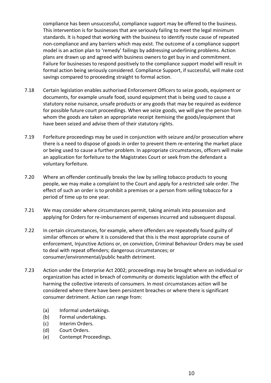compliance has been unsuccessful, compliance support may be offered to the business. This intervention is for businesses that are seriously failing to meet the legal minimum standards. It is hoped that working with the business to identify route cause of repeated non-compliance and any barriers which may exist. The outcome of a compliance support model is an action plan to 'remedy' failings by addressing underlining problems. Action plans are drawn up and agreed with business owners to get buy in and commitment. Failure for businesses to respond positively to the compliance support model will result in formal action being seriously considered. Compliance Support, if successful, will make cost savings compared to proceeding straight to formal action.

- 7.18 Certain legislation enables authorised Enforcement Officers to seize goods, equipment or documents, for example unsafe food, sound equipment that is being used to cause a statutory noise nuisance, unsafe products or any goods that may be required as evidence for possible future court proceedings. When we seize goods, we will give the person from whom the goods are taken an appropriate receipt itemising the goods/equipment that have been seized and advise them of their statutory rights.
- 7.19 Forfeiture proceedings may be used in conjunction with seizure and/or prosecution where there is a need to dispose of goods in order to prevent them re-entering the market place or being used to cause a further problem. In appropriate circumstances, officers will make an application for forfeiture to the Magistrates Court or seek from the defendant a voluntary forfeiture.
- 7.20 Where an offender continually breaks the law by selling tobacco products to young people, we may make a complaint to the Court and apply for a restricted sale order. The effect of such an order is to prohibit a premises or a person from selling tobacco for a period of time up to one year.
- 7.21 We may consider where circumstances permit, taking animals into possession and applying for Orders for re-imbursement of expenses incurred and subsequent disposal.
- 7.22 In certain circumstances, for example, where offenders are repeatedly found guilty of similar offences or where it is considered that this is the most appropriate course of enforcement, Injunctive Actions or, on conviction, Criminal Behaviour Orders may be used to deal with repeat offenders; dangerous circumstances; or consumer/environmental/public health detriment.
- 7.23 Action under the Enterprise Act 2002; proceedings may be brought where an individual or organization has acted in breach of community or domestic legislation with the effect of harming the collective interests of consumers. In most circumstances action will be considered where there have been persistent breaches or where there is significant consumer detriment. Action can range from:
	- (a) Informal undertakings.
	- (b) Formal undertakings.
	- (c) Interim Orders.
	- (d) Court Orders.
	- (e) Contempt Proceedings.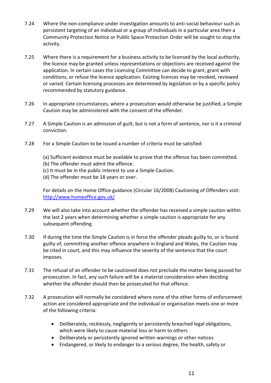- 7.24 Where the non-compliance under investigation amounts to anti-social behaviour such as persistent targeting of an individual or a group of individuals in a particular area then a Community Protection Notice or Public Space Protection Order will be sought to stop the activity.
- 7.25 Where there is a requirement for a business activity to be licensed by the local authority, the licence may be granted unless representations or objections are received against the application. In certain cases the Licensing Committee can decide to grant, grant with conditions, or refuse the licence application. Existing licences may be revoked, reviewed or varied. Certain licensing processes are determined by legislation or by a specific policy recommended by statutory guidance.
- 7.26 In appropriate circumstances, where a prosecution would otherwise be justified, a Simple Caution may be administered with the consent of the offender.
- 7.27 A Simple Caution is an admission of guilt, but is not a form of sentence, nor is it a criminal conviction.
- 7.28 For a Simple Caution to be issued a number of criteria must be satisfied:
	- (a) Sufficient evidence must be available to prove that the offence has been committed.
	- (b) The offender must admit the offence.
	- (c) It must be in the public interest to use a Simple Caution.
	- (d) The offender must be 18 years or over.

For details on the Home Office guidance (Circular 16/2008) Cautioning of Offenders visit: <http://www.homeoffice.gov.uk/>

- 7.29 We will also take into account whether the offender has received a simple caution within the last 2 years when determining whether a simple caution is appropriate for any subsequent offending.
- 7.30 If during the time the Simple Caution is in force the offender pleads guilty to, or is found guilty of, committing another offence anywhere in England and Wales, the Caution may be cited in court, and this may influence the severity of the sentence that the court imposes.
- 7.31 The refusal of an offender to be cautioned does not preclude the matter being passed for prosecution. In fact, any such failure will be a material consideration when deciding whether the offender should then be prosecuted for that offence.
- 7.32 A prosecution will normally be considered where none of the other forms of enforcement action are considered appropriate and the individual or organisation meets one or more of the following criteria:
	- Deliberately, recklessly, negligently or persistently breached legal obligations, which were likely to cause material loss or harm to others
	- Deliberately or persistently ignored written warnings or other notices
	- Endangered, or likely to endanger to a serious degree, the health, safety or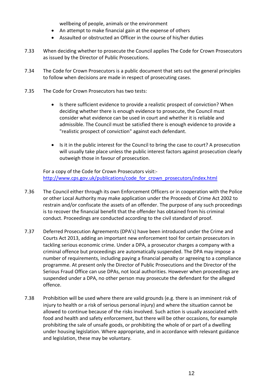wellbeing of people, animals or the environment

- An attempt to make financial gain at the expense of others
- Assaulted or obstructed an Officer in the course of his/her duties
- 7.33 When deciding whether to prosecute the Council applies The Code for Crown Prosecutors as issued by the Director of Public Prosecutions.
- 7.34 The Code for Crown Prosecutors is a public document that sets out the general principles to follow when decisions are made in respect of prosecuting cases.
- 7.35 The Code for Crown Prosecutors has two tests:
	- Is there sufficient evidence to provide a realistic prospect of conviction? When deciding whether there is enough evidence to prosecute, the Council must consider what evidence can be used in court and whether it is reliable and admissible. The Council must be satisfied there is enough evidence to provide a "realistic prospect of conviction" against each defendant.
	- Is it in the public interest for the Council to bring the case to court? A prosecution will usually take place unless the public interest factors against prosecution clearly outweigh those in favour of prosecution.

For a copy of the Code for Crown Prosecutors visit: [http://www.cps.gov.uk/publications/code\\_for\\_crown\\_prosecutors/index.html](http://www.cps.gov.uk/publications/code_for_crown_prosecutors/index.html)

- 7.36 The Council either through its own Enforcement Officers or in cooperation with the Police or other Local Authority may make application under the Proceeds of Crime Act 2002 to restrain and/or confiscate the assets of an offender. The purpose of any such proceedings is to recover the financial benefit that the offender has obtained from his criminal conduct. Proceedings are conducted according to the civil standard of proof.
- 7.37 Deferred Prosecution Agreements (DPA's) have been introduced under the Crime and Courts Act 2013, adding an important new enforcement tool for certain prosecutors in tackling serious economic crime. Under a DPA, a prosecutor charges a company with a criminal offence but proceedings are automatically suspended. The DPA may impose a number of requirements, including paying a financial penalty or agreeing to a compliance programme. At present only the Director of Public Prosecutions and the Director of the Serious Fraud Office can use DPAs, not local authorities. However when proceedings are suspended under a DPA, no other person may prosecute the defendant for the alleged offence.
- 7.38 Prohibition will be used where there are valid grounds (e.g. there is an imminent risk of injury to health or a risk of serious personal injury) and where the situation cannot be allowed to continue because of the risks involved. Such action is usually associated with food and health and safety enforcement, but there will be other occasions, for example prohibiting the sale of unsafe goods, or prohibiting the whole of or part of a dwelling under housing legislation. Where appropriate, and in accordance with relevant guidance and legislation, these may be voluntary.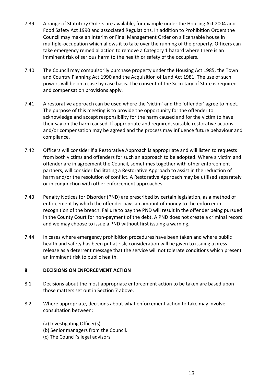- 7.39 A range of Statutory Orders are available, for example under the Housing Act 2004 and Food Safety Act 1990 and associated Regulations. In addition to Prohibition Orders the Council may make an Interim or Final Management Order on a licensable house in multiple-occupation which allows it to take over the running of the property. Officers can take emergency remedial action to remove a Category 1 hazard where there is an imminent risk of serious harm to the health or safety of the occupiers.
- 7.40 The Council may compulsorily purchase property under the Housing Act 1985, the Town and Country Planning Act 1990 and the Acquisition of Land Act 1981. The use of such powers will be on a case by case basis. The consent of the Secretary of State is required and compensation provisions apply.
- 7.41 A restorative approach can be used where the 'victim' and the 'offender' agree to meet. The purpose of this meeting is to provide the opportunity for the offender to acknowledge and accept responsibility for the harm caused and for the victim to have their say on the harm caused. If appropriate and required, suitable restorative actions and/or compensation may be agreed and the process may influence future behaviour and compliance.
- 7.42 Officers will consider if a Restorative Approach is appropriate and will listen to requests from both victims and offenders for such an approach to be adopted. Where a victim and offender are in agreement the Council, sometimes together with other enforcement partners, will consider facilitating a Restorative Approach to assist in the reduction of harm and/or the resolution of conflict. A Restorative Approach may be utilised separately or in conjunction with other enforcement approaches.
- 7.43 Penalty Notices for Disorder (PND) are prescribed by certain legislation, as a method of enforcement by which the offender pays an amount of money to the enforcer in recognition of the breach. Failure to pay the PND will result in the offender being pursued in the County Court for non-payment of the debt. A PND does not create a criminal record and we may choose to issue a PND without first issuing a warning.
- 7.44 In cases where emergency prohibition procedures have been taken and where public health and safety has been put at risk, consideration will be given to issuing a press release as a deterrent message that the service will not tolerate conditions which present an imminent risk to public health.

#### **8 DECISIONS ON ENFORCEMENT ACTION**

- 8.1 Decisions about the most appropriate enforcement action to be taken are based upon those matters set out in Section 7 above.
- 8.2 Where appropriate, decisions about what enforcement action to take may involve consultation between:
	- (a) Investigating Officer(s).
	- (b) Senior managers from the Council.
	- (c) The Council's legal advisors.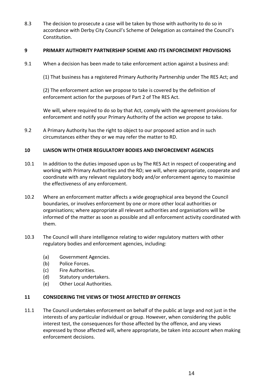8.3 The decision to prosecute a case will be taken by those with authority to do so in accordance with Derby City Council's Scheme of Delegation as contained the Council's Constitution.

#### **9 PRIMARY AUTHORITY PARTNERSHIP SCHEME AND ITS ENFORCEMENT PROVISIONS**

9.1 When a decision has been made to take enforcement action against a business and:

(1) That business has a registered Primary Authority Partnership under The RES Act; and

(2) The enforcement action we propose to take is covered by the definition of enforcement action for the purposes of Part 2 of The RES Act.

We will, where required to do so by that Act, comply with the agreement provisions for enforcement and notify your Primary Authority of the action we propose to take.

9.2 A Primary Authority has the right to object to our proposed action and in such circumstances either they or we may refer the matter to RD.

#### **10 LIAISON WITH OTHER REGULATORY BODIES AND ENFORCEMENT AGENCIES**

- 10.1 In addition to the duties imposed upon us by The RES Act in respect of cooperating and working with Primary Authorities and the RD; we will, where appropriate, cooperate and coordinate with any relevant regulatory body and/or enforcement agency to maximise the effectiveness of any enforcement.
- 10.2 Where an enforcement matter affects a wide geographical area beyond the Council boundaries, or involves enforcement by one or more other local authorities or organisations; where appropriate all relevant authorities and organisations will be informed of the matter as soon as possible and all enforcement activity coordinated with them.
- 10.3 The Council will share intelligence relating to wider regulatory matters with other regulatory bodies and enforcement agencies, including:
	- (a) Government Agencies.
	- (b) Police Forces.
	- (c) Fire Authorities.
	- (d) Statutory undertakers.
	- (e) Other Local Authorities.

#### **11 CONSIDERING THE VIEWS OF THOSE AFFECTED BY OFFENCES**

11.1 The Council undertakes enforcement on behalf of the public at large and not just in the interests of any particular individual or group. However, when considering the public interest test, the consequences for those affected by the offence, and any views expressed by those affected will, where appropriate, be taken into account when making enforcement decisions.